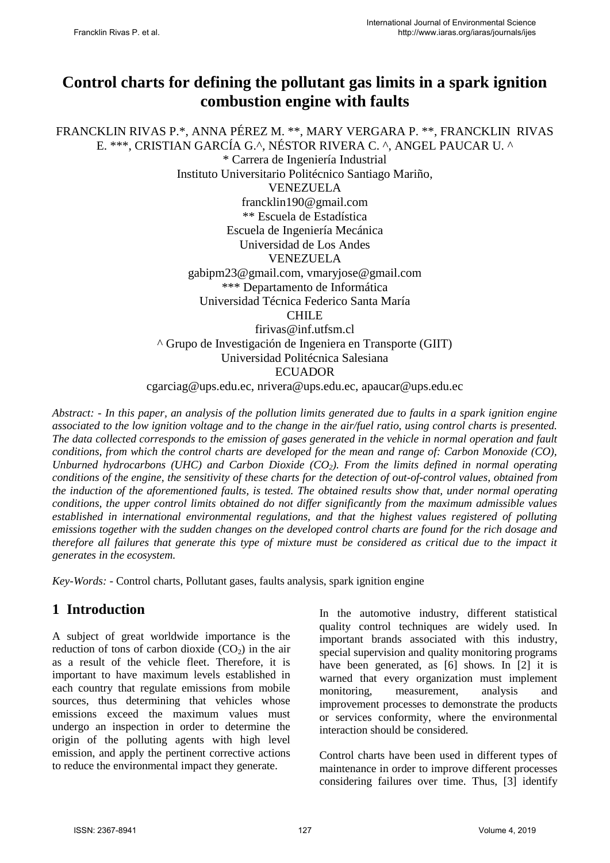# **Control charts for defining the pollutant gas limits in a spark ignition combustion engine with faults**

FRANCKLIN RIVAS P.\*, ANNA PÉREZ M. \*\*, MARY VERGARA P. \*\*, FRANCKLIN RIVAS E. \*\*\*, CRISTIAN GARCÍA G.^, NÉSTOR RIVERA C. ^, ANGEL PAUCAR U. ^ \* Carrera de Ingeniería Industrial Instituto Universitario Politécnico Santiago Mariño, VENEZUELA francklin190@gmail.com \*\* Escuela de Estadística Escuela de Ingeniería Mecánica Universidad de Los Andes VENEZUELA gabipm23@gmail.com, vmaryjose@gmail.com \*\*\* Departamento de Informática Universidad Técnica Federico Santa María CHILE firivas@inf.utfsm.cl ^ Grupo de Investigación de Ingeniera en Transporte (GIIT) Universidad Politécnica Salesiana **ECUADOR** cgarciag@ups.edu.ec, nrivera@ups.edu.ec, apaucar@ups.edu.ec

*Abstract: - In this paper, an analysis of the pollution limits generated due to faults in a spark ignition engine associated to the low ignition voltage and to the change in the air/fuel ratio, using control charts is presented. The data collected corresponds to the emission of gases generated in the vehicle in normal operation and fault conditions, from which the control charts are developed for the mean and range of: Carbon Monoxide (CO), Unburned hydrocarbons (UHC) and Carbon Dioxide (CO2). From the limits defined in normal operating conditions of the engine, the sensitivity of these charts for the detection of out-of-control values, obtained from the induction of the aforementioned faults, is tested. The obtained results show that, under normal operating conditions, the upper control limits obtained do not differ significantly from the maximum admissible values established in international environmental regulations, and that the highest values registered of polluting emissions together with the sudden changes on the developed control charts are found for the rich dosage and therefore all failures that generate this type of mixture must be considered as critical due to the impact it generates in the ecosystem.* 

*Key-Words: -* Control charts, Pollutant gases, faults analysis, spark ignition engine

# **1 Introduction**

A subject of great worldwide importance is the reduction of tons of carbon dioxide  $(CO<sub>2</sub>)$  in the air as a result of the vehicle fleet. Therefore, it is important to have maximum levels established in each country that regulate emissions from mobile sources, thus determining that vehicles whose emissions exceed the maximum values must undergo an inspection in order to determine the origin of the polluting agents with high level emission, and apply the pertinent corrective actions to reduce the environmental impact they generate.

In the automotive industry, different statistical quality control techniques are widely used. In important brands associated with this industry, special supervision and quality monitoring programs have been generated, as [6] shows. In [2] it is warned that every organization must implement monitoring, measurement, analysis and improvement processes to demonstrate the products or services conformity, where the environmental interaction should be considered.

Control charts have been used in different types of maintenance in order to improve different processes considering failures over time. Thus, [3] identify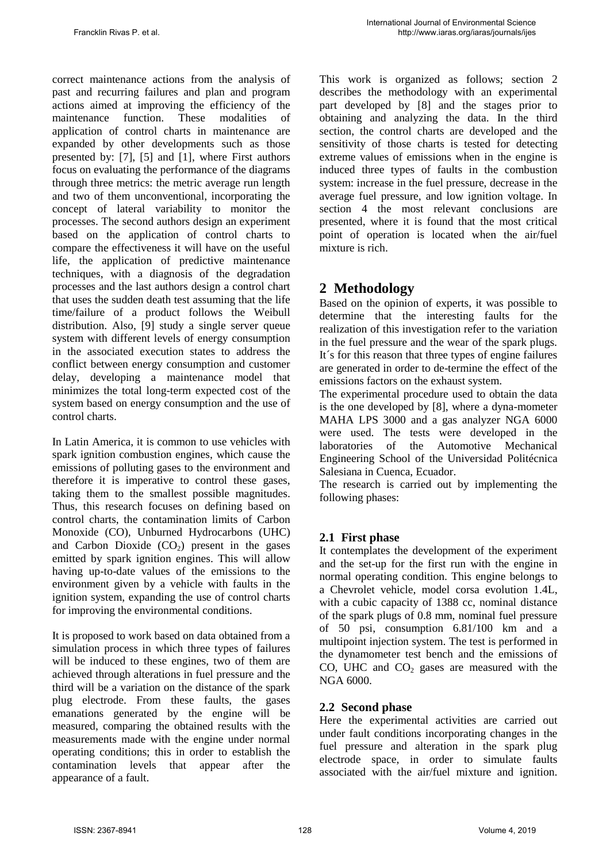correct maintenance actions from the analysis of past and recurring failures and plan and program actions aimed at improving the efficiency of the maintenance function. These modalities of application of control charts in maintenance are expanded by other developments such as those presented by: [7], [5] and [1], where First authors focus on evaluating the performance of the diagrams through three metrics: the metric average run length and two of them unconventional, incorporating the concept of lateral variability to monitor the processes. The second authors design an experiment based on the application of control charts to compare the effectiveness it will have on the useful life, the application of predictive maintenance techniques, with a diagnosis of the degradation processes and the last authors design a control chart that uses the sudden death test assuming that the life time/failure of a product follows the Weibull distribution. Also, [9] study a single server queue system with different levels of energy consumption in the associated execution states to address the conflict between energy consumption and customer delay, developing a maintenance model that minimizes the total long-term expected cost of the system based on energy consumption and the use of control charts.

In Latin America, it is common to use vehicles with spark ignition combustion engines, which cause the emissions of polluting gases to the environment and therefore it is imperative to control these gases, taking them to the smallest possible magnitudes. Thus, this research focuses on defining based on control charts, the contamination limits of Carbon Monoxide (CO), Unburned Hydrocarbons (UHC) and Carbon Dioxide  $(CO<sub>2</sub>)$  present in the gases emitted by spark ignition engines. This will allow having up-to-date values of the emissions to the environment given by a vehicle with faults in the ignition system, expanding the use of control charts for improving the environmental conditions.

It is proposed to work based on data obtained from a simulation process in which three types of failures will be induced to these engines, two of them are achieved through alterations in fuel pressure and the third will be a variation on the distance of the spark plug electrode. From these faults, the gases emanations generated by the engine will be measured, comparing the obtained results with the measurements made with the engine under normal operating conditions; this in order to establish the contamination levels that appear after the appearance of a fault.

This work is organized as follows; section 2 describes the methodology with an experimental part developed by [8] and the stages prior to obtaining and analyzing the data. In the third section, the control charts are developed and the sensitivity of those charts is tested for detecting extreme values of emissions when in the engine is induced three types of faults in the combustion system: increase in the fuel pressure, decrease in the average fuel pressure, and low ignition voltage. In section 4 the most relevant conclusions are presented, where it is found that the most critical point of operation is located when the air/fuel mixture is rich.

# **2 Methodology**

Based on the opinion of experts, it was possible to determine that the interesting faults for the realization of this investigation refer to the variation in the fuel pressure and the wear of the spark plugs. It´s for this reason that three types of engine failures are generated in order to de-termine the effect of the emissions factors on the exhaust system.

The experimental procedure used to obtain the data is the one developed by [8], where a dyna-mometer MAHA LPS 3000 and a gas analyzer NGA 6000 were used. The tests were developed in the laboratories of the Automotive Mechanical Engineering School of the Universidad Politécnica Salesiana in Cuenca, Ecuador.

The research is carried out by implementing the following phases:

### **2.1 First phase**

It contemplates the development of the experiment and the set-up for the first run with the engine in normal operating condition. This engine belongs to a Chevrolet vehicle, model corsa evolution 1.4L, with a cubic capacity of 1388 cc, nominal distance of the spark plugs of 0.8 mm, nominal fuel pressure of 50 psi, consumption 6.81/100 km and a multipoint injection system. The test is performed in the dynamometer test bench and the emissions of CO, UHC and  $CO<sub>2</sub>$  gases are measured with the NGA 6000.

#### **2.2 Second phase**

Here the experimental activities are carried out under fault conditions incorporating changes in the fuel pressure and alteration in the spark plug electrode space, in order to simulate faults associated with the air/fuel mixture and ignition.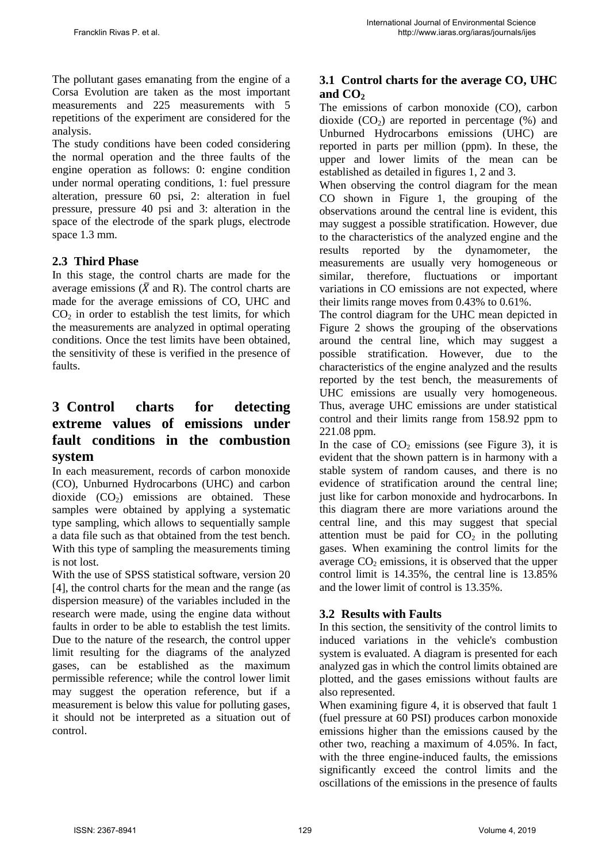The pollutant gases emanating from the engine of a Corsa Evolution are taken as the most important measurements and 225 measurements with 5 repetitions of the experiment are considered for the analysis.

The study conditions have been coded considering the normal operation and the three faults of the engine operation as follows: 0: engine condition under normal operating conditions, 1: fuel pressure alteration, pressure 60 psi, 2: alteration in fuel pressure, pressure 40 psi and 3: alteration in the space of the electrode of the spark plugs, electrode space 1.3 mm.

#### **2.3 Third Phase**

In this stage, the control charts are made for the average emissions ( $\overline{X}$  and R). The control charts are made for the average emissions of CO, UHC and  $CO<sub>2</sub>$  in order to establish the test limits, for which the measurements are analyzed in optimal operating conditions. Once the test limits have been obtained, the sensitivity of these is verified in the presence of faults.

## **3 Control charts for detecting extreme values of emissions under fault conditions in the combustion system**

In each measurement, records of carbon monoxide (CO), Unburned Hydrocarbons (UHC) and carbon dioxide  $(CO<sub>2</sub>)$  emissions are obtained. These samples were obtained by applying a systematic type sampling, which allows to sequentially sample a data file such as that obtained from the test bench. With this type of sampling the measurements timing is not lost.

With the use of SPSS statistical software, version 20 [4], the control charts for the mean and the range (as dispersion measure) of the variables included in the research were made, using the engine data without faults in order to be able to establish the test limits. Due to the nature of the research, the control upper limit resulting for the diagrams of the analyzed gases, can be established as the maximum permissible reference; while the control lower limit may suggest the operation reference, but if a measurement is below this value for polluting gases, it should not be interpreted as a situation out of control.

## **3.1 Control charts for the average CO, UHC and CO<sup>2</sup>**

The emissions of carbon monoxide (CO), carbon dioxide  $(CO_2)$  are reported in percentage  $(\%)$  and Unburned Hydrocarbons emissions (UHC) are reported in parts per million (ppm). In these, the upper and lower limits of the mean can be established as detailed in figures 1, 2 and 3.

When observing the control diagram for the mean CO shown in Figure 1, the grouping of the observations around the central line is evident, this may suggest a possible stratification. However, due to the characteristics of the analyzed engine and the results reported by the dynamometer, the measurements are usually very homogeneous or similar, therefore, fluctuations or important variations in CO emissions are not expected, where their limits range moves from 0.43% to 0.61%.

The control diagram for the UHC mean depicted in Figure 2 shows the grouping of the observations around the central line, which may suggest a possible stratification. However, due to the characteristics of the engine analyzed and the results reported by the test bench, the measurements of UHC emissions are usually very homogeneous. Thus, average UHC emissions are under statistical control and their limits range from 158.92 ppm to 221.08 ppm.

In the case of  $CO<sub>2</sub>$  emissions (see Figure 3), it is evident that the shown pattern is in harmony with a stable system of random causes, and there is no evidence of stratification around the central line; just like for carbon monoxide and hydrocarbons. In this diagram there are more variations around the central line, and this may suggest that special attention must be paid for  $CO<sub>2</sub>$  in the polluting gases. When examining the control limits for the average  $CO<sub>2</sub>$  emissions, it is observed that the upper control limit is 14.35%, the central line is 13.85% and the lower limit of control is 13.35%.

#### **3.2 Results with Faults**

In this section, the sensitivity of the control limits to induced variations in the vehicle's combustion system is evaluated. A diagram is presented for each analyzed gas in which the control limits obtained are plotted, and the gases emissions without faults are also represented.

When examining figure 4, it is observed that fault 1 (fuel pressure at 60 PSI) produces carbon monoxide emissions higher than the emissions caused by the other two, reaching a maximum of 4.05%. In fact, with the three engine-induced faults, the emissions significantly exceed the control limits and the oscillations of the emissions in the presence of faults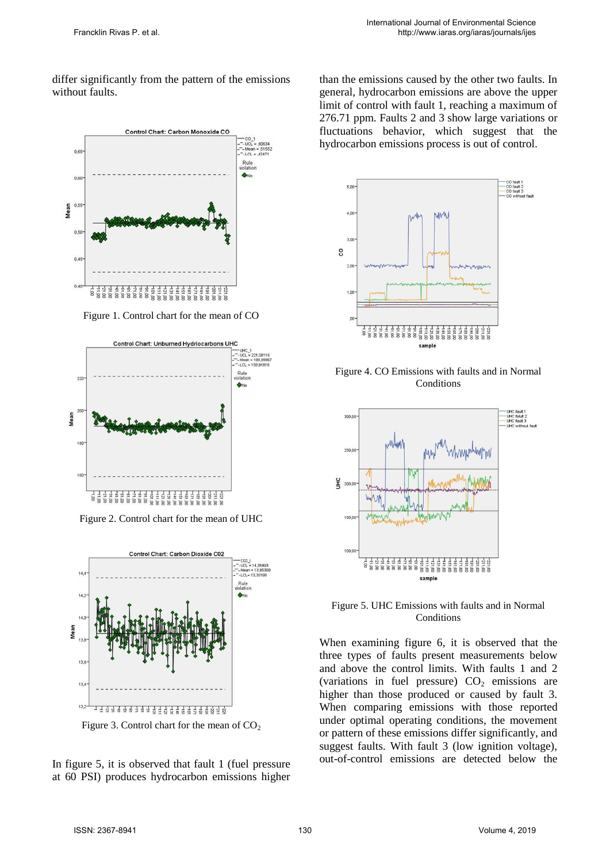differ significantly from the pattern of the emissions without faults.



Figure 1. Control chart for the mean of CO



Figure 2. Control chart for the mean of UHC



Figure 3. Control chart for the mean of  $CO<sub>2</sub>$ 

In figure 5, it is observed that fault 1 (fuel pressure at 60 PSI) produces hydrocarbon emissions higher than the emissions caused by the other two faults. In general, hydrocarbon emissions are above the upper limit of control with fault 1, reaching a maximum of 276.71 ppm. Faults 2 and 3 show large variations or fluctuations behavior, which suggest that the hydrocarbon emissions process is out of control.



Figure 4. CO Emissions with faults and in Normal **Conditions** 



Figure 5. UHC Emissions with faults and in Normal Conditions

When examining figure 6, it is observed that the three types of faults present measurements below and above the control limits. With faults 1 and 2 (variations in fuel pressure)  $CO<sub>2</sub>$  emissions are higher than those produced or caused by fault 3. When comparing emissions with those reported under optimal operating conditions, the movement or pattern of these emissions differ significantly, and suggest faults. With fault 3 (low ignition voltage), out-of-control emissions are detected below the